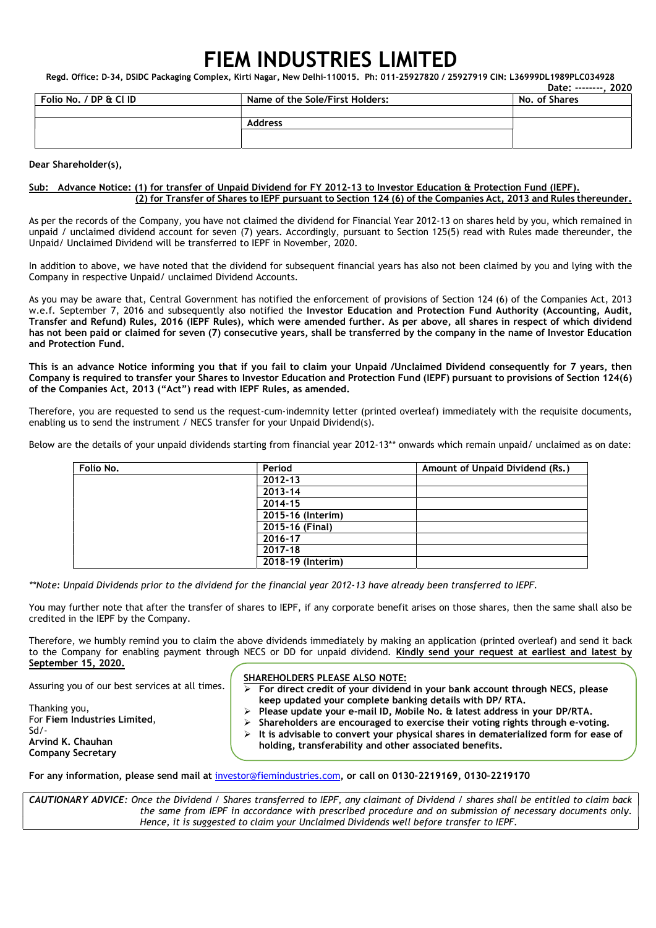# FIEM INDUSTRIES LIMITED

Regd. Office: D-34, DSIDC Packaging Complex, Kirti Nagar, New Delhi-110015. Ph: 011-25927820 / 25927919 CIN: L36999DL1989PLC034928

|                        |                                 | Date: --------. 2020 |
|------------------------|---------------------------------|----------------------|
| Folio No. / DP & Cl ID | Name of the Sole/First Holders: | No. of Shares        |
|                        |                                 |                      |
|                        | <b>Address</b>                  |                      |
|                        |                                 |                      |
|                        |                                 |                      |

### Dear Shareholder(s),

### Sub: Advance Notice: (1) for transfer of Unpaid Dividend for FY 2012-13 to Investor Education & Protection Fund (IEPF). (2) for Transfer of Shares to IEPF pursuant to Section 124 (6) of the Companies Act, 2013 and Rules thereunder.

As per the records of the Company, you have not claimed the dividend for Financial Year 2012-13 on shares held by you, which remained in unpaid / unclaimed dividend account for seven (7) years. Accordingly, pursuant to Section 125(5) read with Rules made thereunder, the Unpaid/ Unclaimed Dividend will be transferred to IEPF in November, 2020.

In addition to above, we have noted that the dividend for subsequent financial years has also not been claimed by you and lying with the Company in respective Unpaid/ unclaimed Dividend Accounts.

As you may be aware that, Central Government has notified the enforcement of provisions of Section 124 (6) of the Companies Act, 2013 w.e.f. September 7, 2016 and subsequently also notified the Investor Education and Protection Fund Authority (Accounting, Audit, Transfer and Refund) Rules, 2016 (IEPF Rules), which were amended further. As per above, all shares in respect of which dividend has not been paid or claimed for seven (7) consecutive years, shall be transferred by the company in the name of Investor Education and Protection Fund.

This is an advance Notice informing you that if you fail to claim your Unpaid /Unclaimed Dividend consequently for 7 years, then Company is required to transfer your Shares to Investor Education and Protection Fund (IEPF) pursuant to provisions of Section 124(6) of the Companies Act, 2013 ("Act") read with IEPF Rules, as amended.

Therefore, you are requested to send us the request-cum-indemnity letter (printed overleaf) immediately with the requisite documents, enabling us to send the instrument / NECS transfer for your Unpaid Dividend(s).

Below are the details of your unpaid dividends starting from financial year 2012-13\*\* onwards which remain unpaid/ unclaimed as on date:

| Folio No. | Period            | Amount of Unpaid Dividend (Rs.) |
|-----------|-------------------|---------------------------------|
|           | 2012-13           |                                 |
|           | 2013-14           |                                 |
|           | 2014-15           |                                 |
|           | 2015-16 (Interim) |                                 |
|           | 2015-16 (Final)   |                                 |
|           | 2016-17           |                                 |
|           | 2017-18           |                                 |
|           | 2018-19 (Interim) |                                 |
|           |                   |                                 |

\*\*Note: Unpaid Dividends prior to the dividend for the financial year 2012-13 have already been transferred to IEPF.

You may further note that after the transfer of shares to IEPF, if any corporate benefit arises on those shares, then the same shall also be credited in the IEPF by the Company.

Therefore, we humbly remind you to claim the above dividends immediately by making an application (printed overleaf) and send it back to the Company for enabling payment through NECS or DD for unpaid dividend. Kindly send your request at earliest and latest by September 15, 2020.

Assuring you of our best services at all times.

Thanking you,

Arvind K. Chauhan Company Secretary

Sd/-

For Fiem Industries Limited,

## SHAREHOLDERS PLEASE ALSO NOTE:

- $\triangleright$  For direct credit of your dividend in your bank account through NECS, please keep updated your complete banking details with DP/ RTA.
- Please update your e-mail ID, Mobile No. & latest address in your DP/RTA.
- $\triangleright$  Shareholders are encouraged to exercise their voting rights through e-voting.
- It is advisable to convert your physical shares in dematerialized form for ease of holding, transferability and other associated benefits.

For any information, please send mail at investor@fiemindustries.com, or call on 0130–2219169, 0130–2219170

CAUTIONARY ADVICE: Once the Dividend / Shares transferred to IEPF, any claimant of Dividend / shares shall be entitled to claim back the same from IEPF in accordance with prescribed procedure and on submission of necessary documents only. Hence, it is suggested to claim your Unclaimed Dividends well before transfer to IEPF.